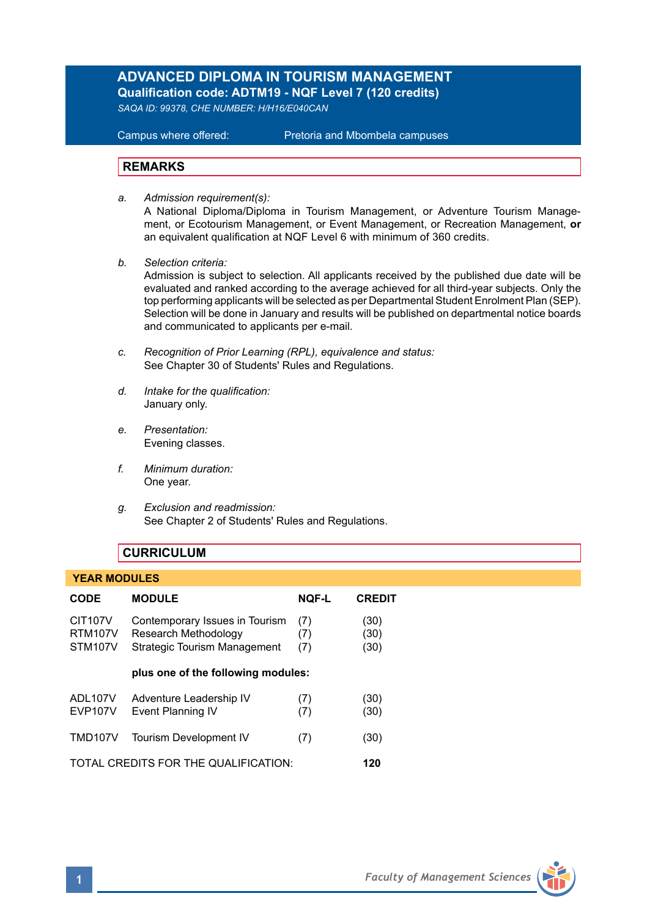# **ADVANCED DIPLOMA IN TOURISM MANAGEMENT Qualification code: ADTM19 - NQF Level 7 (120 credits)**

*SAQA ID: 99378, CHE NUMBER: H/H16/E040CAN* 

**Campus where offered:** 

Pretoria and Mbombela campuses

## **REMARKS**

- *a. Admission requirement(s):*  A National Diploma/Diploma in Tourism Management, or Adventure Tourism Management, or Ecotourism Management, or Event Management, or Recreation Management, **or** an equivalent qualification at NQF Level 6 with minimum of 360 credits.
- *b. Selection criteria:*

Admission is subject to selection. All applicants received by the published due date will be evaluated and ranked according to the average achieved for all third-year subjects. Only the top performing applicants will be selected as per Departmental Student Enrolment Plan (SEP). Selection will be done in January and results will be published on departmental notice boards and communicated to applicants per e-mail.

- *c. Recognition of Prior Learning (RPL), equivalence and status:* See Chapter 30 of Students' Rules and Regulations.
- *d. Intake for the qualification:* January only.
- *e. Presentation:* Evening classes.
- *f. Minimum duration:* One year.
- *g. Exclusion and readmission:* See Chapter 2 of Students' Rules and Regulations.

## **CURRICULUM**

#### **YEAR MODULES**

| <b>CODE</b>                                              | <b>MODULE</b>                                                                                 | <b>NOF-L</b>      | <b>CREDIT</b>        |
|----------------------------------------------------------|-----------------------------------------------------------------------------------------------|-------------------|----------------------|
| <b>CIT107V</b><br><b>RTM107V</b><br>STM <sub>107</sub> V | Contemporary Issues in Tourism<br>Research Methodology<br><b>Strategic Tourism Management</b> | (7)<br>(7)<br>(7) | (30)<br>(30)<br>(30) |
|                                                          | plus one of the following modules:                                                            |                   |                      |
| ADL107V<br><b>EVP107V</b>                                | Adventure Leadership IV<br>Event Planning IV                                                  | (7)<br>(7)        | (30)<br>(30)         |
| TMD107V                                                  | <b>Tourism Development IV</b>                                                                 | (7)               | (30)                 |
| TOTAL CREDITS FOR THE QUALIFICATION:                     |                                                                                               |                   | 120                  |